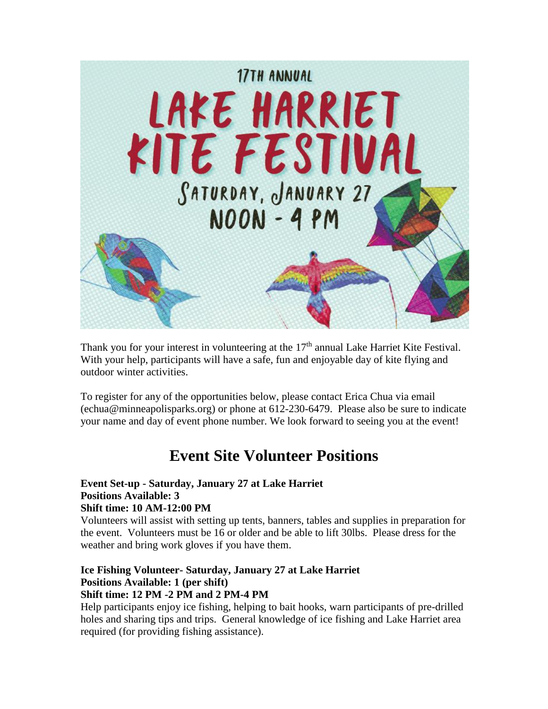

Thank you for your interest in volunteering at the 17<sup>th</sup> annual Lake Harriet Kite Festival. With your help, participants will have a safe, fun and enjoyable day of kite flying and outdoor winter activities.

To register for any of the opportunities below, please contact Erica Chua via email (echua@minneapolisparks.org) or phone at 612-230-6479. Please also be sure to indicate your name and day of event phone number. We look forward to seeing you at the event!

# **Event Site Volunteer Positions**

#### **Event Set-up - Saturday, January 27 at Lake Harriet Positions Available: 3 Shift time: 10 AM-12:00 PM**

Volunteers will assist with setting up tents, banners, tables and supplies in preparation for the event. Volunteers must be 16 or older and be able to lift 30lbs. Please dress for the weather and bring work gloves if you have them.

#### **Ice Fishing Volunteer- Saturday, January 27 at Lake Harriet Positions Available: 1 (per shift) Shift time: 12 PM -2 PM and 2 PM-4 PM**

Help participants enjoy ice fishing, helping to bait hooks, warn participants of pre-drilled holes and sharing tips and trips. General knowledge of ice fishing and Lake Harriet area required (for providing fishing assistance).